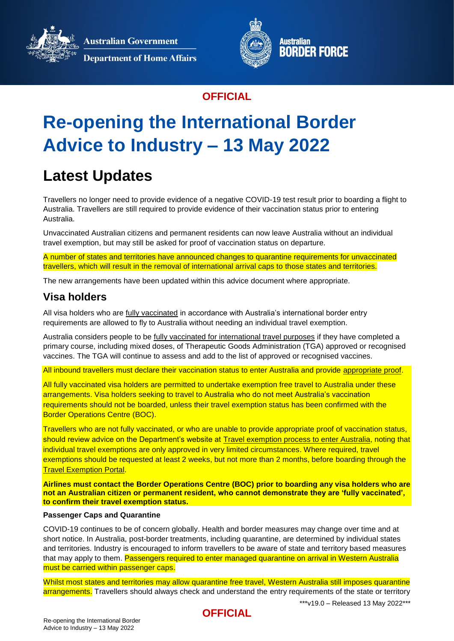**Australian Government** 



**Department of Home Affairs** 



### **OFFICIAL**

# **Re-opening the International Border Advice to Industry – 13 May 2022**

# **Latest Updates**

Travellers no longer need to provide evidence of a negative COVID-19 test result prior to boarding a flight to Australia. Travellers are still required to provide evidence of their vaccination status prior to entering Australia.

Unvaccinated Australian citizens and permanent residents can now leave Australia without an individual travel exemption, but may still be asked for proof of vaccination status on departure.

A number of states and territories have announced changes to quarantine requirements for unvaccinated travellers, which will result in the removal of international arrival caps to those states and territories.

The new arrangements have been updated within this advice document where appropriate.

### **Visa holders**

All visa holders who are [fully vaccinated](https://www.homeaffairs.gov.au/covid19/vaccination-testing#content-index-2) in accordance with Australia's international border entry requirements are allowed to fly to Australia without needing an individual travel exemption.

Australia considers people to be [fully vaccinated](https://www.homeaffairs.gov.au/covid19/vaccination-testing#content-index-2) for international travel purposes if they have completed a primary course, including mixed doses, of Therapeutic Goods Administration (TGA) approved or recognised vaccines. The TGA will continue to assess and add to the list of approved or recognised vaccines.

All inbound travellers must declare their vaccination status to enter Australia and provide [appropriate proof.](https://www.health.gov.au/health-alerts/covid-19/international-travel/proof-of-vaccination)

All fully vaccinated visa holders are permitted to undertake exemption free travel to Australia under these arrangements. Visa holders seeking to travel to Australia who do not meet Australia's vaccination requirements should not be boarded, unless their travel exemption status has been confirmed with the Border Operations Centre (BOC).

Travellers who are not fully vaccinated, or who are unable to provide appropriate proof of vaccination status, should review advice on the Department's website at [Travel exemption process to enter Australia,](https://www.homeaffairs.gov.au/covid19/unvaccinated-travellers/temp-visa-holders/entering-and-transiting-australia/exemption-process) noting that individual travel exemptions are only approved in very limited circumstances. Where required, travel exemptions should be requested at least 2 weeks, but not more than 2 months, before boarding through the **[Travel Exemption Portal.](https://travel-exemptions.homeaffairs.gov.au/tep)** 

**Airlines must contact the Border Operations Centre (BOC) prior to boarding any visa holders who are not an Australian citizen or permanent resident, who cannot demonstrate they are 'fully vaccinated', to confirm their travel exemption status.**

#### **Passenger Caps and Quarantine**

COVID-19 continues to be of concern globally. Health and border measures may change over time and at short notice. In Australia, post-border treatments, including quarantine, are determined by individual states and territories. Industry is encouraged to inform travellers to be aware of state and territory based measures that may apply to them. Passengers required to enter managed quarantine on arrival in Western Australia must be carried within passenger caps.

Whilst most states and territories may allow quarantine free travel, Western Australia still imposes quarantine arrangements. Travellers should always check and understand the entry requirements of the state or territory

\*\*\*v19.0 – Released 13 May 2022\*\*\*

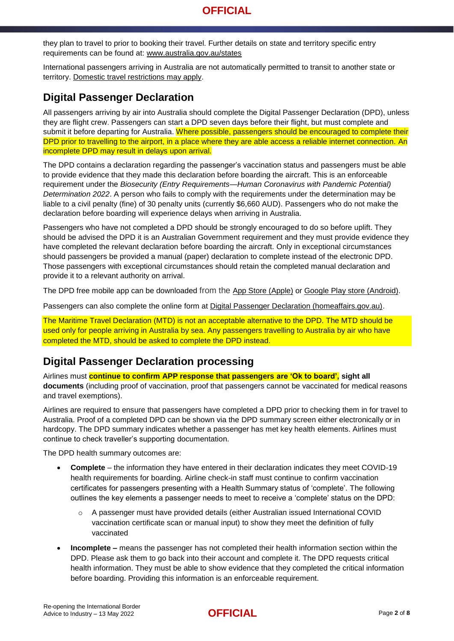they plan to travel to prior to booking their travel. Further details on state and territory specific entry requirements can be found at: [www.australia.gov.au/states](https://www.australia.gov.au/states)

International passengers arriving in Australia are not automatically permitted to transit to another state or territory. [Domestic travel restrictions may apply.](https://www.australia.gov.au/states)

### **Digital Passenger Declaration**

All passengers arriving by air into Australia should complete the Digital Passenger Declaration (DPD), unless they are flight crew. Passengers can start a DPD seven days before their flight, but must complete and submit it before departing for Australia. Where possible, passengers should be encouraged to complete their DPD prior to travelling to the airport, in a place where they are able access a reliable internet connection. An incomplete DPD may result in delays upon arrival.

The DPD contains a declaration regarding the passenger's vaccination status and passengers must be able to provide evidence that they made this declaration before boarding the aircraft. This is an enforceable requirement under the *Biosecurity (Entry Requirements—Human Coronavirus with Pandemic Potential) Determination 2022*. A person who fails to comply with the requirements under the determination may be liable to a civil penalty (fine) of 30 penalty units (currently \$6,660 AUD). Passengers who do not make the declaration before boarding will experience delays when arriving in Australia.

Passengers who have not completed a DPD should be strongly encouraged to do so before uplift. They should be advised the DPD it is an Australian Government requirement and they must provide evidence they have completed the relevant declaration before boarding the aircraft. Only in exceptional circumstances should passengers be provided a manual (paper) declaration to complete instead of the electronic DPD. Those passengers with exceptional circumstances should retain the completed manual declaration and provide it to a relevant authority on arrival.

The DPD free mobile app can be downloaded from the [App Store \(Apple\)](https://apps.apple.com/us/app/australia-dpd/id1590788781) or Google Play store [\(Android\).](https://play.google.com/store/apps/details?id=au.gov.homeaffairs.dpd)

Passengers can also complete the online form at [Digital Passenger Declaration \(homeaffairs.gov.au\)](https://www.homeaffairs.gov.au/covid19/digital-passenger-declaration).

The Maritime Travel Declaration (MTD) is not an acceptable alternative to the DPD. The MTD should be used only for people arriving in Australia by sea. Any passengers travelling to Australia by air who have completed the MTD, should be asked to complete the DPD instead.

### **Digital Passenger Declaration processing**

Airlines must **continue to confirm APP response that passengers are 'Ok to board', sight all documents** (including proof of vaccination, proof that passengers cannot be vaccinated for medical reasons and travel exemptions).

Airlines are required to ensure that passengers have completed a DPD prior to checking them in for travel to Australia. Proof of a completed DPD can be shown via the DPD summary screen either electronically or in hardcopy. The DPD summary indicates whether a passenger has met key health elements. Airlines must continue to check traveller's supporting documentation.

The DPD health summary outcomes are:

- **Complete** the information they have entered in their declaration indicates they meet COVID-19 health requirements for boarding. Airline check-in staff must continue to confirm vaccination certificates for passengers presenting with a Health Summary status of 'complete'. The following outlines the key elements a passenger needs to meet to receive a 'complete' status on the DPD:
	- o A passenger must have provided details (either Australian issued International COVID vaccination certificate scan or manual input) to show they meet the definition of fully vaccinated
- **Incomplete –** means the passenger has not completed their health information section within the DPD. Please ask them to go back into their account and complete it. The DPD requests critical health information. They must be able to show evidence that they completed the critical information before boarding. Providing this information is an enforceable requirement.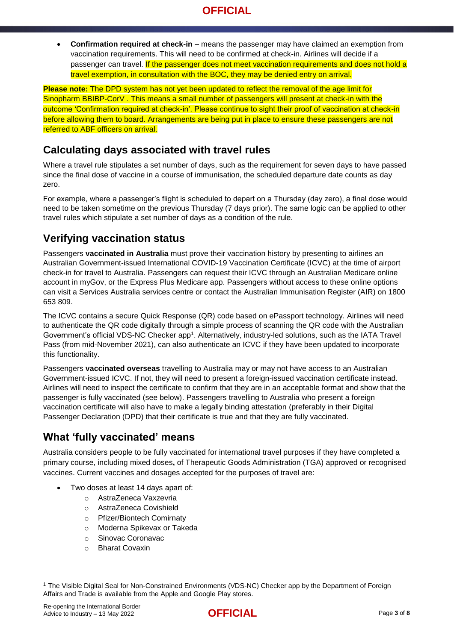**Confirmation required at check-in** – means the passenger may have claimed an exemption from vaccination requirements. This will need to be confirmed at check-in. Airlines will decide if a passenger can travel. If the passenger does not meet vaccination requirements and does not hold a travel exemption, in consultation with the BOC, they may be denied entry on arrival.

**Please note:** The DPD system has not yet been updated to reflect the removal of the age limit for Sinopharm BBIBP-CorV . This means a small number of passengers will present at check-in with the outcome 'Confirmation required at check-in'. Please continue to sight their proof of vaccination at check-in before allowing them to board. Arrangements are being put in place to ensure these passengers are not referred to ABF officers on arrival.

### **Calculating days associated with travel rules**

Where a travel rule stipulates a set number of days, such as the requirement for seven days to have passed since the final dose of vaccine in a course of immunisation, the scheduled departure date counts as day zero.

For example, where a passenger's flight is scheduled to depart on a Thursday (day zero), a final dose would need to be taken sometime on the previous Thursday (7 days prior). The same logic can be applied to other travel rules which stipulate a set number of days as a condition of the rule.

### **Verifying vaccination status**

Passengers **vaccinated in Australia** must prove their vaccination history by presenting to airlines an Australian Government-issued International COVID-19 Vaccination Certificate (ICVC) at the time of airport check-in for travel to Australia. Passengers can request their ICVC through an Australian Medicare online account in myGov, or the Express Plus Medicare app. Passengers without access to these online options can visit a [Services Australia services centre](https://findus.servicesaustralia.gov.au/) or contact the Australian Immunisation Register (AIR) on 1800 653 809.

The ICVC contains a secure Quick Response (QR) code based on ePassport technology. Airlines will need to authenticate the QR code digitally through a simple process of scanning the QR code with the Australian Government's official VDS-NC Checker app<sup>1</sup>. Alternatively, industry-led solutions, such as the IATA Travel Pass (from mid-November 2021), can also authenticate an ICVC if they have been updated to incorporate this functionality.

Passengers **vaccinated overseas** travelling to Australia may or may not have access to an Australian Government-issued ICVC. If not, they will need to present a foreign-issued vaccination certificate instead. Airlines will need to inspect the certificate to confirm that they are in an acceptable format and show that the passenger is fully vaccinated (see below). Passengers travelling to Australia who present a foreign vaccination certificate will also have to make a legally binding attestation (preferably in their Digital Passenger Declaration (DPD) that their certificate is true and that they are fully vaccinated.

### **What 'fully vaccinated' means**

Australia considers people to be fully vaccinated for international travel purposes if they have completed a primary course, including mixed doses**,** of Therapeutic Goods Administration (TGA) approved or recognised vaccines. Current vaccines and dosages accepted for the purposes of travel are:

- Two doses at least 14 days apart of:
	- o AstraZeneca Vaxzevria
	- o AstraZeneca Covishield
	- o Pfizer/Biontech Comirnaty
	- o Moderna Spikevax or Takeda
	- o Sinovac Coronavac
	- o Bharat Covaxin

1



<sup>1</sup> The Visible Digital Seal for Non-Constrained Environments (VDS-NC) Checker app by the Department of Foreign Affairs and Trade is available from the Apple and Google Play stores.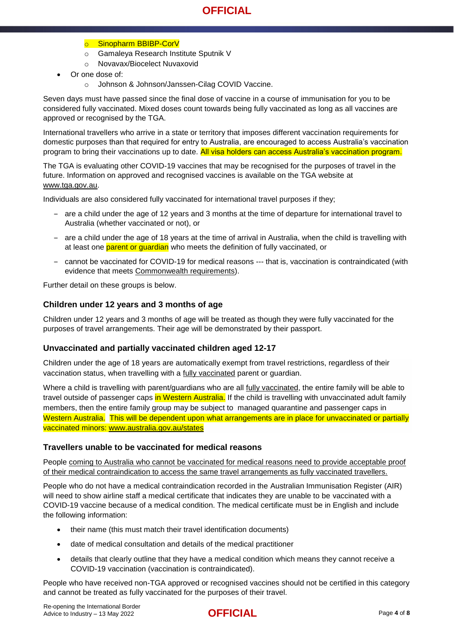#### o Sinopharm BBIBP-CorV

- o Gamaleya Research Institute Sputnik V
- o Novavax/Biocelect Nuvaxovid
- Or one dose of:
	- o Johnson & Johnson/Janssen-Cilag COVID Vaccine.

Seven days must have passed since the final dose of vaccine in a course of immunisation for you to be considered fully vaccinated. Mixed doses count towards being fully vaccinated as long as all vaccines are approved or recognised by the TGA.

International travellers who arrive in a state or territory that imposes different vaccination requirements for domestic purposes than that required for entry to Australia, are encouraged to access Australia's vaccination program to bring their vaccinations up to date. All visa holders can access Australia's vaccination program.

The TGA is evaluating other COVID-19 vaccines that may be recognised for the purposes of travel in the future. Information on approved and recognised vaccines is available on the TGA website at [www.tga.gov.au.](http://www.tga.gov.au/)

Individuals are also considered fully vaccinated for international travel purposes if they;

- ‒ are a child under the age of 12 years and 3 months at the time of departure for international travel to Australia (whether vaccinated or not), or
- ‒ are a child under the age of 18 years at the time of arrival in Australia, when the child is travelling with at least one parent or guardian who meets the definition of fully vaccinated, or
- cannot be vaccinated for COVID-19 for medical reasons --- that is, vaccination is contraindicated (with evidence that meets [Commonwealth requirements\)](https://www.health.gov.au/health-alerts/covid-19/international-travel/proof-of-vaccination#evidence-of-medical-contraindication-to-covid19-vaccine).

Further detail on these groups is below.

#### **Children under 12 years and 3 months of age**

Children under 12 years and 3 months of age will be treated as though they were fully vaccinated for the purposes of travel arrangements. Their age will be demonstrated by their passport.

#### **Unvaccinated and partially vaccinated children aged 12-17**

Children under the age of 18 years are automatically exempt from travel restrictions, regardless of their vaccination status, when travelling with a fully [vaccinated](https://www.homeaffairs.gov.au/covid19/vaccination-testing#content-index-2) parent or guardian.

Where a child is travelling with parent/guardians who are all [fully vaccinated,](https://www.homeaffairs.gov.au/covid19/vaccination-testing#content-index-2) the entire family will be able to travel outside of passenger caps in Western Australia. If the child is travelling with unvaccinated adult family members, then the entire family group may be subject to managed quarantine and passenger caps in Western Australia. This will be dependent upon what arrangements are in place for unvaccinated or partially vaccinated minors: [www.australia.gov.au/states](http://www.australia.gov.au/states)

#### **Travellers unable to be vaccinated for medical reasons**

People coming to Australia who cannot be vaccinated for medical reasons need to provide acceptable proof of their medical contraindication to access the same travel arrangements as fully vaccinated travellers.

People who do not have a medical contraindication recorded in the Australian Immunisation Register (AIR) will need to show airline staff a medical certificate that indicates they are unable to be vaccinated with a COVID-19 vaccine because of a medical condition. The medical certificate must be in English and include the following information:

- their name (this must match their travel identification documents)
- date of medical consultation and details of the medical practitioner
- details that clearly outline that they have a medical condition which means they cannot receive a COVID-19 vaccination (vaccination is contraindicated).

People who have received non-TGA approved or recognised vaccines should not be certified in this category and cannot be treated as fully vaccinated for the purposes of their travel.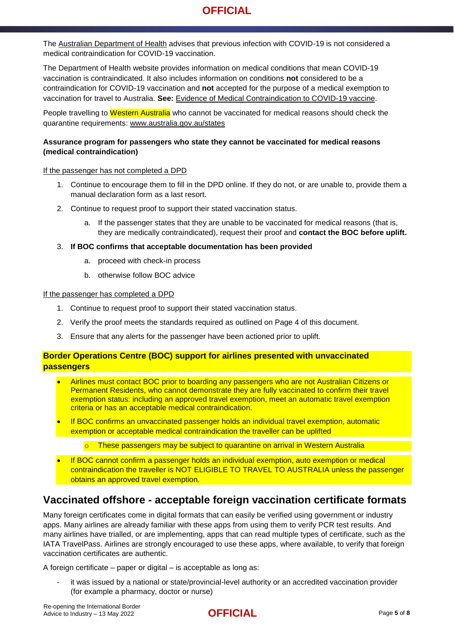The [Australian Department of Health](https://www.health.gov.au/health-alerts/covid-19/international-travel/proof-of-vaccination#exemptions) advises that previous infection with COVID-19 is not considered a medical contraindication for COVID-19 vaccination.

The Department of Health website provides information on medical conditions that mean COVID-19 vaccination is contraindicated. It also includes information on conditions **not** considered to be a contraindication for COVID-19 vaccination and **not** accepted for the purpose of a medical exemption to vaccination for travel to Australia. **See:** [Evidence of Medical Contraindication to COVID-19 vaccine.](https://www.health.gov.au/health-alerts/covid-19/international-travel/proof-of-vaccination#evidence-of-medical-contraindication-to-covid19-vaccine)

People travelling to Western Australia who cannot be vaccinated for medical reasons should check the quarantine requirements: [www.australia.gov.au/states](http://www.australia.gov.au/states)

#### **Assurance program for passengers who state they cannot be vaccinated for medical reasons (medical contraindication)**

If the passenger has not completed a DPD

- 1. Continue to encourage them to fill in the DPD online. If they do not, or are unable to, provide them a manual declaration form as a last resort.
- 2. Continue to request proof to support their stated vaccination status.
	- a. If the passenger states that they are unable to be vaccinated for medical reasons (that is, they are medically contraindicated), request their proof and **contact the BOC before uplift.**
- 3. **If BOC confirms that acceptable documentation has been provided**
	- a. proceed with check-in process
	- b. otherwise follow BOC advice

#### If the passenger has completed a DPD

- 1. Continue to request proof to support their stated vaccination status.
- 2. Verify the proof meets the standards required as outlined on Page 4 of this document.
- 3. Ensure that any alerts for the passenger have been actioned prior to uplift.

#### **Border Operations Centre (BOC) support for airlines presented with unvaccinated passengers**

- Airlines must contact BOC prior to boarding any passengers who are not Australian Citizens or Permanent Residents, who cannot demonstrate they are fully vaccinated to confirm their travel exemption status: including an approved travel exemption, meet an automatic travel exemption criteria or has an acceptable medical contraindication.
- If BOC confirms an unvaccinated passenger holds an individual travel exemption, automatic exemption or acceptable medical contraindication the traveller can be uplifted
	- o These passengers may be subject to quarantine on arrival in Western Australia
- If BOC cannot confirm a passenger holds an individual exemption, auto exemption or medical contraindication the traveller is NOT ELIGIBLE TO TRAVEL TO AUSTRALIA unless the passenger obtains an approved travel exemption.

### **Vaccinated offshore - acceptable foreign vaccination certificate formats**

Many foreign certificates come in digital formats that can easily be verified using government or industry apps. Many airlines are already familiar with these apps from using them to verify PCR test results. And many airlines have trialled, or are implementing, apps that can read multiple types of certificate, such as the IATA TravelPass. Airlines are strongly encouraged to use these apps, where available, to verify that foreign vaccination certificates are authentic.

A foreign certificate – paper or digital – is acceptable as long as:

it was issued by a national or state/provincial-level authority or an accredited vaccination provider (for example a pharmacy, doctor or nurse)

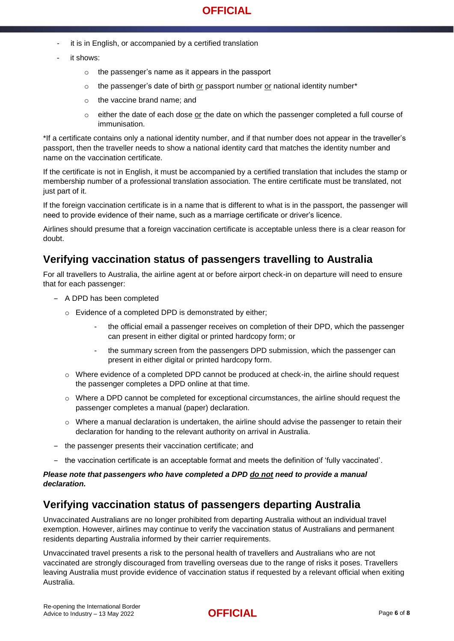- it is in English, or accompanied by a certified translation
- it shows:
	- o the passenger's name as it appears in the passport
	- o the passenger's date of birth or passport number or national identity number\*
	- o the vaccine brand name; and
	- $\circ$  either the date of each dose or the date on which the passenger completed a full course of immunisation.

\*If a certificate contains only a national identity number, and if that number does not appear in the traveller's passport, then the traveller needs to show a national identity card that matches the identity number and name on the vaccination certificate.

If the certificate is not in English, it must be accompanied by a certified translation that includes the stamp or membership number of a professional translation association. The entire certificate must be translated, not just part of it.

If the foreign vaccination certificate is in a name that is different to what is in the passport, the passenger will need to provide evidence of their name, such as a marriage certificate or driver's licence.

Airlines should presume that a foreign vaccination certificate is acceptable unless there is a clear reason for doubt.

### **Verifying vaccination status of passengers travelling to Australia**

For all travellers to Australia, the airline agent at or before airport check-in on departure will need to ensure that for each passenger:

- A DPD has been completed
	- o Evidence of a completed DPD is demonstrated by either;
		- the official email a passenger receives on completion of their DPD, which the passenger can present in either digital or printed hardcopy form; or
		- the summary screen from the passengers DPD submission, which the passenger can present in either digital or printed hardcopy form.
	- $\circ$  Where evidence of a completed DPD cannot be produced at check-in, the airline should request the passenger completes a DPD online at that time.
	- $\circ$  Where a DPD cannot be completed for exceptional circumstances, the airline should request the passenger completes a manual (paper) declaration.
	- $\circ$  Where a manual declaration is undertaken, the airline should advise the passenger to retain their declaration for handing to the relevant authority on arrival in Australia.
- ‒ the passenger presents their vaccination certificate; and
- ‒ the vaccination certificate is an acceptable format and meets the definition of 'fully vaccinated'.

#### *Please note that passengers who have completed a DPD do not need to provide a manual declaration.*

### **Verifying vaccination status of passengers departing Australia**

Unvaccinated Australians are no longer prohibited from departing Australia without an individual travel exemption. However, airlines may continue to verify the vaccination status of Australians and permanent residents departing Australia informed by their carrier requirements.

Unvaccinated travel presents a risk to the personal health of travellers and Australians who are not vaccinated are strongly discouraged from travelling overseas due to the range of risks it poses. Travellers leaving Australia must provide evidence of vaccination status if requested by a relevant official when exiting Australia.

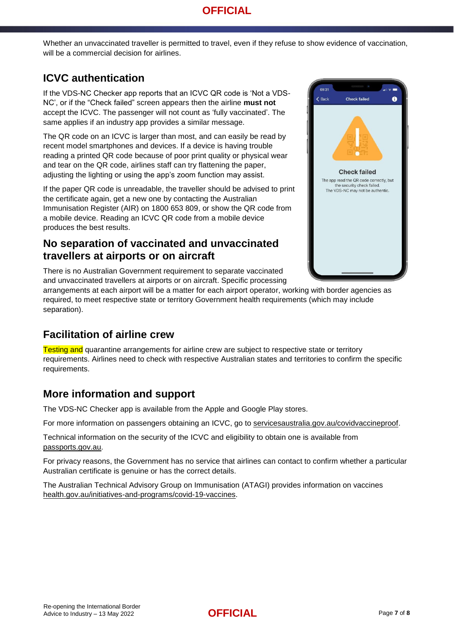Whether an unvaccinated traveller is permitted to travel, even if they refuse to show evidence of vaccination, will be a commercial decision for airlines.

### **ICVC authentication**

If the VDS-NC Checker app reports that an ICVC QR code is 'Not a VDS-NC', or if the "Check failed" screen appears then the airline **must not** accept the ICVC. The passenger will not count as 'fully vaccinated'. The same applies if an industry app provides a similar message.

The QR code on an ICVC is larger than most, and can easily be read by recent model smartphones and devices. If a device is having trouble reading a printed QR code because of poor print quality or physical wear and tear on the QR code, airlines staff can try flattening the paper, adjusting the lighting or using the app's zoom function may assist.

If the paper QR code is unreadable, the traveller should be advised to print the certificate again, get a new one by contacting the Australian Immunisation Register (AIR) on 1800 653 809, or show the QR code from a mobile device. Reading an ICVC QR code from a mobile device produces the best results.

### **No separation of vaccinated and unvaccinated travellers at airports or on aircraft**

There is no Australian Government requirement to separate vaccinated and unvaccinated travellers at airports or on aircraft. Specific processing



arrangements at each airport will be a matter for each airport operator, working with border agencies as required, to meet respective state or territory Government health requirements (which may include separation).

### **Facilitation of airline crew**

**Testing and quarantine arrangements for airline crew are subject to respective state or territory** requirements. Airlines need to check with respective Australian states and territories to confirm the specific requirements.

### **More information and support**

The [VDS-NC Checker app](https://www.passports.gov.au/vds-nc-checker) is available from the Apple and Google Play stores.

For more information on passengers obtaining an ICVC, go to [servicesaustralia.gov.au/covidvaccineproof.](http://www.servicesaustralia.gov.au/covidvaccineproof)

Technical information on the security of the ICVC and eligibility to obtain one is available from [passports.gov.au.](http://www.passports.gov.au/)

For privacy reasons, the Government has no service that airlines can contact to confirm whether a particular Australian certificate is genuine or has the correct details.

The Australian Technical Advisory Group on Immunisation (ATAGI) provides information on vaccines [health.gov.au/initiatives-and-programs/covid-19-vaccines.](http://www.health.gov.au/initiatives-and-programs/covid-19-vaccines)